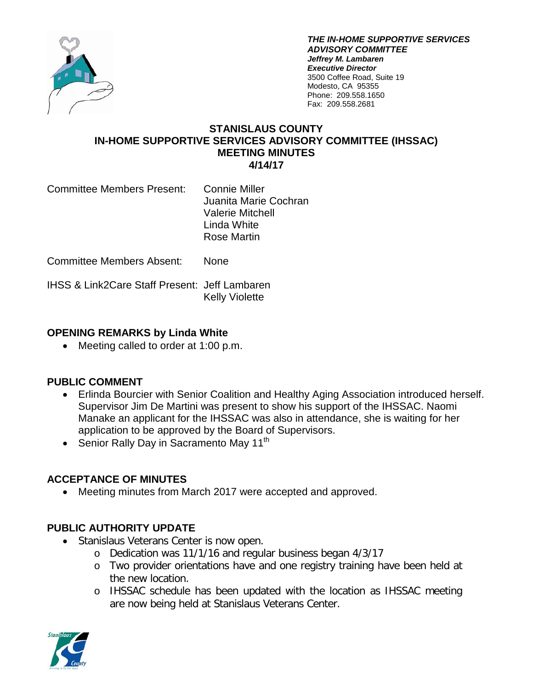

*THE IN-HOME SUPPORTIVE SERVICES ADVISORY COMMITTEE Jeffrey M. Lambaren Executive Director* 3500 Coffee Road, Suite 19 Modesto, CA 95355 Phone: 209.558.1650 Fax: 209.558.2681

#### **STANISLAUS COUNTY IN-HOME SUPPORTIVE SERVICES ADVISORY COMMITTEE (IHSSAC) MEETING MINUTES 4/14/17**

Committee Members Present: Connie Miller

Juanita Marie Cochran Valerie Mitchell Linda White Rose Martin

Committee Members Absent: None

IHSS & Link2Care Staff Present: Jeff Lambaren Kelly Violette

# **OPENING REMARKS by Linda White**

• Meeting called to order at 1:00 p.m.

# **PUBLIC COMMENT**

- Erlinda Bourcier with Senior Coalition and Healthy Aging Association introduced herself. Supervisor Jim De Martini was present to show his support of the IHSSAC. Naomi Manake an applicant for the IHSSAC was also in attendance, she is waiting for her application to be approved by the Board of Supervisors.
- Senior Rally Day in Sacramento May 11<sup>th</sup>

# **ACCEPTANCE OF MINUTES**

• Meeting minutes from March 2017 were accepted and approved.

# **PUBLIC AUTHORITY UPDATE**

- Stanislaus Veterans Center is now open.
	- o Dedication was 11/1/16 and regular business began 4/3/17
	- o Two provider orientations have and one registry training have been held at the new location.
	- o IHSSAC schedule has been updated with the location as IHSSAC meeting are now being held at Stanislaus Veterans Center.

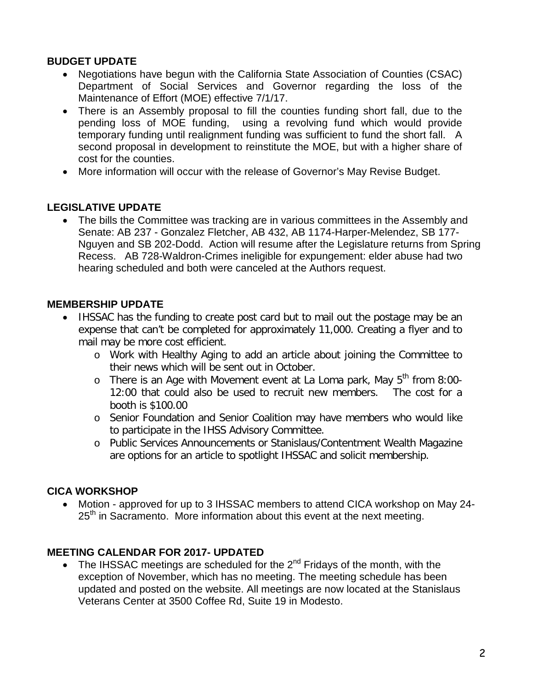### **BUDGET UPDATE**

- Negotiations have begun with the California State Association of Counties (CSAC) Department of Social Services and Governor regarding the loss of the Maintenance of Effort (MOE) effective 7/1/17.
- There is an Assembly proposal to fill the counties funding short fall, due to the pending loss of MOE funding, using a revolving fund which would provide temporary funding until realignment funding was sufficient to fund the short fall. A second proposal in development to reinstitute the MOE, but with a higher share of cost for the counties.
- More information will occur with the release of Governor's May Revise Budget.

### **LEGISLATIVE UPDATE**

• The bills the Committee was tracking are in various committees in the Assembly and Senate: AB 237 - Gonzalez Fletcher, AB 432, AB 1174-Harper-Melendez, SB 177- Nguyen and SB 202-Dodd. Action will resume after the Legislature returns from Spring Recess. AB 728-Waldron-Crimes ineligible for expungement: elder abuse had two hearing scheduled and both were canceled at the Authors request.

### **MEMBERSHIP UPDATE**

- IHSSAC has the funding to create post card but to mail out the postage may be an expense that can't be completed for approximately 11,000. Creating a flyer and to mail may be more cost efficient.
	- o Work with Healthy Aging to add an article about joining the Committee to their news which will be sent out in October.
	- o There is an Age with Movement event at La Loma park, May  $5<sup>th</sup>$  from 8:00-12:00 that could also be used to recruit new members. The cost for a booth is \$100.00
	- o Senior Foundation and Senior Coalition may have members who would like to participate in the IHSS Advisory Committee.
	- o Public Services Announcements or Stanislaus/Contentment Wealth Magazine are options for an article to spotlight IHSSAC and solicit membership.

### **CICA WORKSHOP**

• Motion - approved for up to 3 IHSSAC members to attend CICA workshop on May 24-  $25<sup>th</sup>$  in Sacramento. More information about this event at the next meeting.

### **MEETING CALENDAR FOR 2017- UPDATED**

• The IHSSAC meetings are scheduled for the  $2^{nd}$  Fridays of the month, with the exception of November, which has no meeting. The meeting schedule has been updated and posted on the website. All meetings are now located at the Stanislaus Veterans Center at 3500 Coffee Rd, Suite 19 in Modesto.